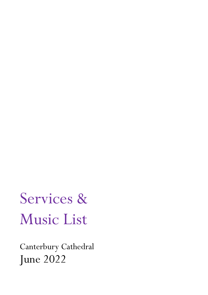# Services & Music List

Canterbury Cathedral June 2022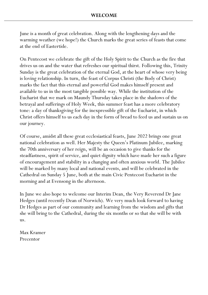June is a month of great celebration. Along with the lengthening days and the warming weather (we hope!) the Church marks the great series of feasts that come at the end of Eastertide.

On Pentecost we celebrate the gift of the Holy Spirit to the Church as the fire that drives us on and the water that refreshes our spiritual thirst. Following this, Trinity Sunday is the great celebration of the eternal God, at the heart of whose very being is loving relationship. In turn, the feast of Corpus Christi (the Body of Christ) marks the fact that this eternal and powerful God makes himself present and available to us in the most tangible possible way. While the institution of the Eucharist that we mark on Maundy Thursday takes place in the shadows of the betrayal and sufferings of Holy Week, this summer feast has a more celebratory tone: a day of thanksgiving for the inexpressible gift of the Eucharist, in which Christ offers himself to us each day in the form of bread to feed us and sustain us on our journey.

Of course, amidst all these great ecclesiastical feasts, June 2022 brings one great national celebration as well. Her Majesty the Queen's Platinum Jubilee, marking the 70th anniversary of her reign, will be an occasion to give thanks for the steadfastness, spirit of service, and quiet dignity which have made her such a figure of encouragement and stability in a changing and often anxious world. The Jubilee will be marked by many local and national events, and will be celebrated in the Cathedral on Sunday 5 June, both at the main Civic Pentecost Eucharist in the morning and at Evensong in the afternoon.

In June we also hope to welcome our Interim Dean, the Very Reverend Dr Jane Hedges (until recently Dean of Norwich). We very much look forward to having Dr Hedges as part of our community and learning from the wisdom and gifts that she will bring to the Cathedral, during the six months or so that she will be with us.

Max Kramer Precentor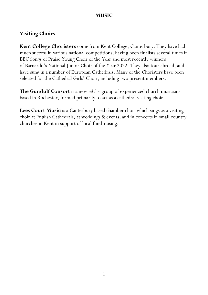#### **Visiting Choirs**

**Kent College Choristers** come from Kent College, Canterbury. They have had much success in various national competitions, having been finalists several times in BBC Songs of Praise Young Choir of the Year and most recently winners of Barnardo's National Junior Choir of the Year 2022. They also tour abroad, and have sung in a number of European Cathedrals. Many of the Choristers have been selected for the Cathedral Girls' Choir, including two present members.

**The Gundulf Consort** is a new *ad hoc* group of experienced church musicians based in Rochester, formed primarily to act as a cathedral visiting choir.

**Lees Court Music** is a Canterbury based chamber choir which sings as a visiting choir at English Cathedrals, at weddings & events, and in concerts in small country churches in Kent in support of local fund-raising.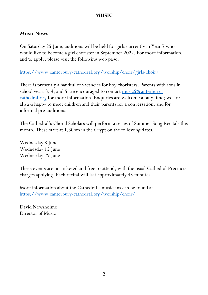#### **Music News**

On Saturday 25 June, auditions will be held for girls currently in Year 7 who would like to become a girl chorister in September 2022. For more information, and to apply, please visit the following web page:

<https://www.canterbury-cathedral.org/worship/choir/girls-choir/>

There is presently a handful of vacancies for boy choristers. Parents with sons in school years 3, 4, and 5 are encouraged to contact  $\frac{musc(a) \text{canterbury}}{masc(a) \text{canterbury}}$ [cathedral.org](mailto:music@canterbury-cathedral.org) for more information. Enquiries are welcome at any time; we are always happy to meet children and their parents for a conversation, and for informal pre-auditions.

The Cathedral's Choral Scholars will perform a series of Summer Song Recitals this month. These start at 1.30pm in the Crypt on the following dates:

Wednesday 8 June Wednesday 15 June Wednesday 29 June

These events are un-ticketed and free to attend, with the usual Cathedral Precincts charges applying. Each recital will last approximately 45 minutes.

More information about the Cathedral's musicians can be found at <https://www.canterbury-cathedral.org/worship/choir/>

David Newsholme Director of Music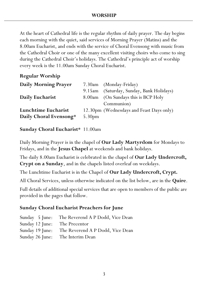At the heart of Cathedral life is the regular rhythm of daily prayer. The day begins each morning with the quiet, said services of Morning Prayer (Matins) and the 8.00am Eucharist, and ends with the service of Choral Evensong with music from the Cathedral Choir or one of the many excellent visiting choirs who come to sing during the Cathedral Choir's holidays. The Cathedral's principle act of worship every week is the 11.00am Sunday Choral Eucharist.

#### **Regular Worship**

| <b>Daily Morning Prayer</b> |        | 7.30am (Monday-Friday)                   |
|-----------------------------|--------|------------------------------------------|
|                             |        | 9.15am (Saturday, Sunday, Bank Holidays) |
| Daily Eucharist             |        | 8.00am (On Sundays this is BCP Holy      |
|                             |        | Communion)                               |
| Lunchtime Eucharist         |        | 12.30pm (Wednesdays and Feast Days only) |
| Daily Choral Evensong*      | 5.30pm |                                          |

#### **Sunday Choral Eucharist**\* 11.00am

Daily Morning Prayer is in the chapel of **Our Lady Martyrdom** for Mondays to Fridays, and in the **Jesus Chapel** at weekends and bank holidays.

The daily 8.00am Eucharist is celebrated in the chapel of **Our Lady Undercroft, Crypt on a Sunday**, and in the chapels listed overleaf on weekdays.

The Lunchtime Eucharist is in the Chapel of **Our Lady Undercroft, Crypt.**

All Choral Services, unless otherwise indicated on the list below, are in the **Quire**.

Full details of additional special services that are open to members of the public are provided in the pages that follow.

#### **Sunday Choral Eucharist Preachers for June**

|                               | Sunday 5 June: The Reverend A P Dodd, Vice Dean  |
|-------------------------------|--------------------------------------------------|
| Sunday 12 June: The Precentor |                                                  |
|                               | Sunday 19 June: The Reverend A P Dodd, Vice Dean |
|                               | Sunday 26 June: The Interim Dean                 |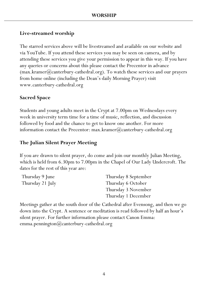#### **Live-streamed worship**

The starred services above will be livestreamed and available on our website and via YouTube. If you attend these services you may be seen on camera, and by attending these services you give your permission to appear in this way. If you have any queries or concerns about this please contact the Precentor in advance  $(\text{max.kramer}(a)$  canterbury-cathedral.org). To watch these services and our prayers from home online (including the Dean's daily Morning Prayer) visit www.canterbury-cathedral.org

#### **Sacred Space**

Students and young adults meet in the Crypt at 7.00pm on Wednesdays every week in university term time for a time of music, reflection, and discussion followed by food and the chance to get to know one another. For more information contact the Precentor: max.kramer $(\omega)$ canterbury-cathedral.org

#### **The Julian Silent Prayer Meeting**

If you are drawn to silent prayer, do come and join our monthly Julian Meeting, which is held from 6.30pm to 7.00pm in the Chapel of Our Lady Undercroft. The dates for the rest of this year are:

| Thursday 9 June  | Thursday 8 September |
|------------------|----------------------|
| Thursday 21 July | Thursday 6 October   |
|                  | Thursday 3 November  |
|                  | Thursday 1 December  |

Meetings gather at the south door of the Cathedral after Evensong, and then we go down into the Crypt. A sentence or meditation is read followed by half an hour's silent prayer. For further information please contact Canon Emma: emma.pennington $(a)$ canterbury-cathedral.org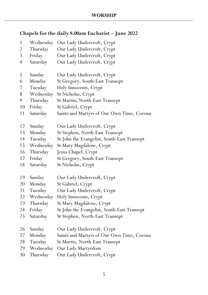### **Chapels for the daily 8.00am Eucharist – June 2022**

| $\mathbf{1}$   | Wednesday | Our Lady Undercroft, Crypt                  |
|----------------|-----------|---------------------------------------------|
| $\overline{2}$ | Thursday  | Our Lady Undercroft, Crypt                  |
| 3              | Friday    | Our Lady Undercroft, Crypt                  |
| $\overline{4}$ | Saturday  | Our Lady Undercroft, Crypt                  |
|                |           |                                             |
| 5              | Sunday    | Our Lady Undercroft, Crypt                  |
| 6              | Monday    | St Gregory, South-East Transept             |
| 7              | Tuesday   | Holy Innocents, Crypt                       |
| 8              | Wednesday | St Nicholas, Crypt                          |
| 9              | Thursday  | <b>St Martin, North-East Transept</b>       |
| 10             | Friday    | St Gabriel, Crypt                           |
| 11             | Saturday  | Saints and Martyrs of Our Own Time, Corona  |
|                |           |                                             |
| 12             | Sunday    | Our Lady Undercroft, Crypt                  |
| 13             | Monday    | St Stephen, North-East Transept             |
| 14             | Tuesday   | St John the Evangelist, South-East Transept |
| 15             | Wednesday | St Mary Magdalene, Crypt                    |
| 16             | Thursday  | Jesus Chapel, Crypt                         |
| 17             | Friday    | St Gregory, South-East Transept             |
| 18             | Saturday  | St Nicholas, Crypt                          |
| 19             | Sunday    | Our Lady Undercroft, Crypt                  |
| 20             | Monday    | St Gabriel, Crypt                           |
| 21             | Tuesday   | Our Lady Undercroft, Crypt                  |
| 22             | Wednesday | Holy Innocents, Crypt                       |
| 23             | Thursday  | St Mary Magdalene, Crypt                    |
| 24             | Friday    | St John the Evangelist, South-East Transept |
| 25             | Saturday  | St Stephen, North-East Transept             |
|                |           |                                             |
| 26             | Sunday    | Our Lady Undercroft, Crypt                  |
| 27             | Monday    | Saints and Martyrs of Our Own Time, Corona  |
| 28             | Tuesday   | <b>St Martin, North-East Transept</b>       |
| 29             | Wednesday | Our Lady Martyrdom                          |
| 30             | Thursday  | Our Lady Undercroft, Crypt                  |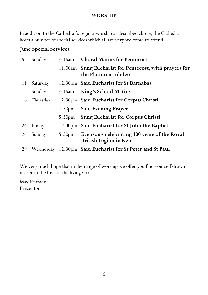In addition to the Cathedral's regular worship as described above, the Cathedral hosts a number of special services which all are very welcome to attend.

#### **June Special Services**

| 5  | Sunday   |                    | 9.15am Choral Matins for Pentecost                                             |
|----|----------|--------------------|--------------------------------------------------------------------------------|
|    |          |                    | 11.00am Sung Eucharist for Pentecost, with prayers for<br>the Platinum Jubilee |
| 11 | Saturday |                    | 12.30pm Said Eucharist for St Barnabas                                         |
| 12 | Sunday   | 9.15am             | <b>King's School Matins</b>                                                    |
| 16 | Thursday |                    | 12.30pm Said Eucharist for Corpus Christi                                      |
|    |          | 4.30 <sub>pm</sub> | <b>Said Evening Prayer</b>                                                     |
|    |          | 5.30 <sub>pm</sub> | <b>Sung Eucharist for Corpus Christi</b>                                       |
| 24 | Friday   |                    | 12.30pm Said Eucharist for St John the Baptist                                 |
| 26 | Sunday   | 5.30 <sub>pm</sub> | Evensong celebrating 100 years of the Royal<br><b>British Legion in Kent</b>   |
| 29 |          |                    | Wednesday 12.30pm Said Eucharist for St Peter and St Paul                      |

We very much hope that in the range of worship we offer you find yourself drawn nearer to the love of the living God.

Max Kramer Precentor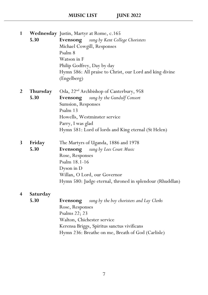| $\mathbf{1}$   |          | <b>Wednesday</b> Justin, Martyr at Rome, c.165                          |
|----------------|----------|-------------------------------------------------------------------------|
|                | 5.30     | <b>Evensong</b> sung by Kent College Choristers                         |
|                |          | Michael Cowgill, Responses                                              |
|                |          | Psalm 8                                                                 |
|                |          | Watson in F                                                             |
|                |          | Philip Godfrey, Day by day                                              |
|                |          | Hymn 586: All praise to Christ, our Lord and king divine<br>(Engelberg) |
| 2              | Thursday | Oda, 22 <sup>nd</sup> Archbishop of Canterbury, 958                     |
|                | 5.30     | sung by the Gundulf Consort<br><b>Evensong</b>                          |
|                |          | Sumsion, Responses                                                      |
|                |          | Psalm 13                                                                |
|                |          | Howells, Westminster service                                            |
|                |          | Parry, I was glad                                                       |
|                |          | Hymn 581: Lord of lords and King eternal (St Helen)                     |
| 3              | Friday   | The Martyrs of Uganda, 1886 and 1978                                    |
|                | 5.30     | sung by Lees Court Music<br>Evensong                                    |
|                |          | Rose, Responses                                                         |
|                |          | Psalm 18.1-16                                                           |
|                |          | Dyson in D                                                              |
|                |          | Willan, O Lord, our Governor                                            |
|                |          | Hymn 580: Judge eternal, throned in splendour (Rhuddlan)                |
| $\overline{4}$ | Saturday |                                                                         |
|                | 5.30     | <b>Evensong</b> sung by the boy choristers and Lay Clerks               |
|                |          | Rose, Responses                                                         |
|                |          | Psalms 22; 23                                                           |
|                |          | Walton, Chichester service                                              |
|                |          | Kerensa Briggs, Spiritus sanctus vivificans                             |

7

Hymn 236: Breathe on me, Breath of God (Carlisle)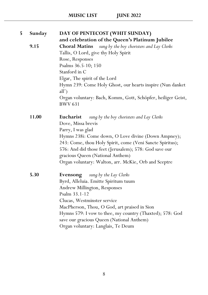| 5 | Sunday | DAY OF PENTECOST (WHIT SUNDAY)                                                 |
|---|--------|--------------------------------------------------------------------------------|
|   |        | and celebration of the Queen's Platinum Jubilee                                |
|   | 9.15   | <b>Choral Matins</b><br>sung by the boy choristers and Lay Clerks              |
|   |        | Tallis, O Lord, give thy Holy Spirit                                           |
|   |        | Rose, Responses                                                                |
|   |        | Psalms 36.5-10; 150                                                            |
|   |        | Stanford in C                                                                  |
|   |        | Elgar, The spirit of the Lord                                                  |
|   |        | Hymn 239: Come Holy Ghost, our hearts inspire (Nun danket<br>all')             |
|   |        | Organ voluntary: Bach, Komm, Gott, Schöpfer, heiliger Geist,<br><b>BWV 631</b> |
|   | 11.00  | Eucharist<br>sung by the boy choristers and Lay Clerks                         |
|   |        | Dove, Missa brevis                                                             |
|   |        | Parry, I was glad                                                              |
|   |        | Hymns 238i: Come down, O Love divine (Down Ampney);                            |
|   |        | 243: Come, thou Holy Spirit, come (Veni Sancte Spiritus);                      |
|   |        | 576: And did those feet (Jerusalem); 578: God save our                         |
|   |        | gracious Queen (National Anthem)                                               |
|   |        | Organ voluntary: Walton, arr. McKie, Orb and Sceptre                           |
|   | 5.30   | <b>Evensong</b> sung by the Lay Clerks                                         |
|   |        | Byrd, Alleluia. Emitte Spiritum tuum                                           |
|   |        | Andrew Millington, Responses                                                   |
|   |        | Psalm 33.1-12                                                                  |
|   |        | Clucas, Westminster service                                                    |
|   |        | MacPherson, Thou, O God, art praised in Sion                                   |
|   |        | Hymns 579: I vow to thee, my country (Thaxted); 578: God                       |
|   |        | save our gracious Queen (National Anthem)                                      |
|   |        | Organ voluntary: Langlais, Te Deum                                             |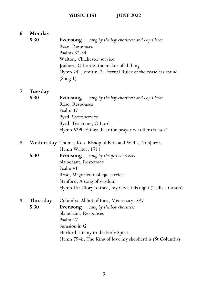| 6 | Monday<br>5.30          | <b>Evensong</b> sung by the boy choristers and Lay Clerks<br>Rose, Responses<br>Psalms 32-34<br>Walton, Chichester service<br>Joubert, O Lorde, the maker of al thing<br>Hymn 244, omit v. 3: Eternal Ruler of the ceaseless round       |
|---|-------------------------|------------------------------------------------------------------------------------------------------------------------------------------------------------------------------------------------------------------------------------------|
|   |                         | (Song 1)                                                                                                                                                                                                                                 |
| 7 | Tuesday                 |                                                                                                                                                                                                                                          |
|   | 5.30                    | <b>Evensong</b> sung by the boy choristers and Lay Clerks<br>Rose, Responses<br>Psalm 37                                                                                                                                                 |
|   |                         | Byrd, Short service                                                                                                                                                                                                                      |
|   |                         | Byrd, Teach me, O Lord<br>Hymn 629i: Father, hear the prayer we offer (Sussex)                                                                                                                                                           |
| 8 |                         | <b>Wednesday</b> Thomas Ken, Bishop of Bath and Wells, Nonjuror,<br>Hymn Writer, 1711                                                                                                                                                    |
|   | 5.30                    | <b>Evensong</b> sung by the girl choristers<br>plainchant, Responses<br>Psalm 41<br>Rose, Magdalen College service<br>Stanford, A song of wisdom<br>Hymn 15: Glory to thee, my God, this night (Tallis's Canon)                          |
| 9 | <b>Thursday</b><br>5.30 | Columba, Abbot of Iona, Missionary, 597<br>Evensong<br>sung by the boy choristers<br>plainchant, Responses<br>Psalm 47<br>Sumsion in G<br>Hurford, Litany to the Holy Spirit<br>Hymn 794ii: The King of love my shepherd is (St Columba) |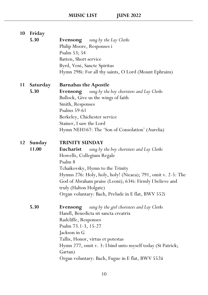| 10        | Friday          |                                                              |
|-----------|-----------------|--------------------------------------------------------------|
|           | 5.30            | <b>Evensong</b> sung by the Lay Clerks                       |
|           |                 | Philip Moore, Responses i                                    |
|           |                 | Psalm 53; 54                                                 |
|           |                 | Batten, Short service                                        |
|           |                 | Byrd, Veni, Sancte Spiritus                                  |
|           |                 | Hymn 298i: For all thy saints, O Lord (Mount Ephraim)        |
| <b>11</b> | <b>Saturday</b> | <b>Barnabas the Apostle</b>                                  |
|           | 5.30            | sung by the boy choristers and Lay Clerks<br>Evensong        |
|           |                 | Bullock, Give us the wings of faith                          |
|           |                 | Smith, Responses                                             |
|           |                 | Psalms 59-61                                                 |
|           |                 | Berkeley, Chichester service                                 |
|           |                 | Stainer, I saw the Lord                                      |
|           |                 | Hymn NEH167: The 'Son of Consolation' (Aurelia)              |
| 12        | Sunday          | <b>TRINITY SUNDAY</b>                                        |
|           | 11.00           | Eucharist<br>sung by the boy choristers and Lay Clerks       |
|           |                 | Howells, Collegium Regale                                    |
|           |                 | Psalm 8                                                      |
|           |                 | Tchaikovsky, Hymn to the Trinity                             |
|           |                 | Hymns 276: Holy, holy, holy! (Nicaea); 791, omit v. 2-5: The |
|           |                 | God of Abraham praise (Leoni); 634i: Firmly I believe and    |
|           |                 | truly (Halton Holgate)                                       |
|           |                 | Organ voluntary: Bach, Prelude in E flat, BWV 552i           |
|           | 5.30            | sung by the girl choristers and Lay Clerks<br>Evensong       |
|           |                 | Handl, Benedicta sit sancta creatrix                         |
|           |                 | Radcliffe, Responses                                         |
|           |                 | Psalm 73.1-3, 15-27                                          |
|           |                 | Jackson in G                                                 |
|           |                 | Tallis, Honor, virtus et potestas                            |
|           |                 | Hymn 277, omit v. 3: I bind unto myself today (St Patrick;   |
|           |                 | Gartan)                                                      |
|           |                 | Organ voluntary: Bach, Fugue in E flat, BWV 552ii            |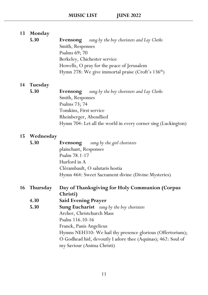## **13 Monday 5.30 Evensong** *sung by the boy choristers and Lay Clerks* Smith, Responses Psalms 69; 70 Berkeley, Chichester service Howells, O pray for the peace of Jerusalem Hymn 278: We give immortal praise (Croft's  $136<sup>th</sup>$ ) **14 Tuesday 5.30 Evensong** *sung by the boy choristers and Lay Clerks* Smith, Responses Psalms 73; 74 Tomkins, First service Rheinberger, Abendlied Hymn 704: Let all the world in every corner sing (Luckington) **15 Wednesday 5.30 Evensong** *sung by the girl choristers* plainchant, Responses

| plainchant, Responses                               |
|-----------------------------------------------------|
| Psalm 78.1-17                                       |
| Hurford in A                                        |
| Clérambault, O salutaris hostia                     |
| Hymn 464: Sweet Sacrament divine (Divine Mysteries) |

| 16 Thursday | Day of Thanksgiving for Holy Communion (Corpus   |
|-------------|--------------------------------------------------|
|             | Christi)                                         |
| 4.30        | <b>Said Evening Prayer</b>                       |
| 5.30        | <b>Sung Eucharist</b> sung by the boy choristers |
|             | Archer, Christchurch Mass                        |
|             | $\mathbf{D}$ 1 44 $\epsilon$ 40 4 $\epsilon$     |

Psalm 116.10-16

Franck, Panis Angelicus

Hymns NEH310: We hail thy presence glorious (Offertorium); O Godhead hid, devoutly I adore thee (Aquinas); 462: Soul of my Saviour (Anima Christi)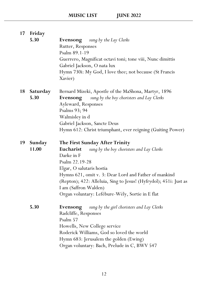| 17 | Friday          |                                                                   |
|----|-----------------|-------------------------------------------------------------------|
|    | 5.30            | <b>Evensong</b> sung by the Lay Clerks                            |
|    |                 | Rutter, Responses                                                 |
|    |                 | Psalm 89.1-19                                                     |
|    |                 | Guerrero, Magnificat octavi toni; tone viii, Nunc dimittis        |
|    |                 | Gabriel Jackson, O nata lux                                       |
|    |                 | Hymn 730i: My God, I love thee; not because (St Francis           |
|    |                 | Xavier)                                                           |
| 18 | <b>Saturday</b> | Bernard Mizeki, Apostle of the MaShona, Martyr, 1896              |
|    | 5.30            | sung by the boy choristers and Lay Clerks<br>Evensong             |
|    |                 | Ayleward, Responses                                               |
|    |                 | Psalms 93; 94                                                     |
|    |                 | Walmisley in d                                                    |
|    |                 | Gabriel Jackson, Sancte Deus                                      |
|    |                 | Hymn 612: Christ triumphant, ever reigning (Guiting Power)        |
| 19 | <b>Sunday</b>   | The First Sunday After Trinity                                    |
|    | 11.00           | Eucharist<br>sung by the boy choristers and Lay Clerks            |
|    |                 | Darke in F                                                        |
|    |                 | Psalm 22.19-28                                                    |
|    |                 | Elgar, O salutaris hostia                                         |
|    |                 | Hymns 621, omit v. 3: Dear Lord and Father of mankind             |
|    |                 | (Repton); 422: Alleluia, Sing to Jesus! (Hyfrydol); 451i: Just as |
|    |                 | I am (Saffron Walden)                                             |
|    |                 | Organ voluntary: Lefébure-Wély, Sortie in E flat                  |
|    | 5.30            | Evensong<br>sung by the girl choristers and Lay Clerks            |
|    |                 | Radcliffe, Responses                                              |
|    |                 |                                                                   |
|    |                 | Psalm 57                                                          |
|    |                 | Howells, New College service                                      |
|    |                 | Roderick Williams, God so loved the world                         |
|    |                 | Hymn 683: Jerusalem the golden (Ewing)                            |
|    |                 | Organ voluntary: Bach, Prelude in C, BWV 547                      |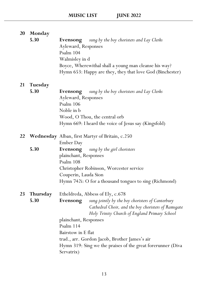| <b>20</b> | Monday   |                                                              |
|-----------|----------|--------------------------------------------------------------|
|           | 5.30     | <b>Evensong</b> sung by the boy choristers and Lay Clerks    |
|           |          | Ayleward, Responses                                          |
|           |          | Psalm 104                                                    |
|           |          | Walmisley in d                                               |
|           |          | Boyce, Wherewithal shall a young man cleanse his way?        |
|           |          | Hymn 653: Happy are they, they that love God (Binchester)    |
| <b>21</b> | Tuesday  |                                                              |
|           | 5.30     | <b>Evensong</b> sung by the boy choristers and Lay Clerks    |
|           |          | Ayleward, Responses                                          |
|           |          | Psalm 106                                                    |
|           |          | Noble in b                                                   |
|           |          | Wood, O Thou, the central orb                                |
|           |          | Hymn 669: I heard the voice of Jesus say (Kingsfold)         |
| 22        |          | <b>Wednesday</b> Alban, first Martyr of Britain, c.250       |
|           |          | <b>Ember Day</b>                                             |
|           | 5.30     | <b>Evensong</b> sung by the girl choristers                  |
|           |          | plainchant, Responses                                        |
|           |          | Psalm 108                                                    |
|           |          | Christopher Robinson, Worcester service                      |
|           |          | Couperin, Lauda Sion                                         |
|           |          | Hymn 742i: O for a thousand tongues to sing (Richmond)       |
| 23        | Thursday | Etheldreda, Abbess of Ely, c.678                             |
|           | 5.30     | Evensong<br>sung jointly by the boy choristers of Canterbury |
|           |          | Cathedral Choir, and the boy choristers of Ramsgate          |
|           |          | Holy Trinity Church of England Primary School                |
|           |          | plainchant, Responses                                        |
|           |          | Psalm 114                                                    |
|           |          | Bairstow in E flat                                           |
|           |          | trad., arr. Gordon Jacob, Brother James's air                |
|           |          | Hymn 319: Sing we the praises of the great forerunner (Diva  |
|           |          | Servatrix)                                                   |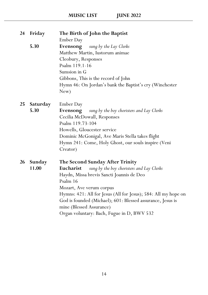| 24        | Friday          | The Birth of John the Baptist                                  |
|-----------|-----------------|----------------------------------------------------------------|
|           |                 | Ember Day                                                      |
|           | 5.30            | Evensong<br>sung by the Lay Clerks                             |
|           |                 | Matthew Martin, Iustorum animae                                |
|           |                 | Cleobury, Responses                                            |
|           |                 | Psalm 119.1-16                                                 |
|           |                 | Sumsion in G                                                   |
|           |                 | Gibbons, This is the record of John                            |
|           |                 | Hymn 46: On Jordan's bank the Baptist's cry (Winchester        |
|           |                 | New)                                                           |
| 25        | <b>Saturday</b> | Ember Day                                                      |
|           | 5.30            | sung by the boy choristers and Lay Clerks<br>Evensong          |
|           |                 | Cecilia McDowall, Responses                                    |
|           |                 | Psalm 119.73-104                                               |
|           |                 | Howells, Gloucester service                                    |
|           |                 | Dominic McGonigal, Ave Maris Stella takes flight               |
|           |                 | Hymn 241: Come, Holy Ghost, our souls inspire (Veni            |
|           |                 | Creator)                                                       |
| <b>26</b> | Sunday          | <b>The Second Sunday After Trinity</b>                         |
|           | 11.00           | sung by the boy choristers and Lay Clerks<br>Eucharist         |
|           |                 | Haydn, Missa brevis Sancti Joannis de Deo                      |
|           |                 | Psalm 16                                                       |
|           |                 | Mozart, Ave verum corpus                                       |
|           |                 | Hymns: 421: All for Jesus (All for Jesus); 584: All my hope on |
|           |                 | God is founded (Michael); 601: Blessed assurance, Jesus is     |
|           |                 | mine (Blessed Assurance)                                       |
|           |                 | Organ voluntary: Bach, Fugue in D, BWV 532                     |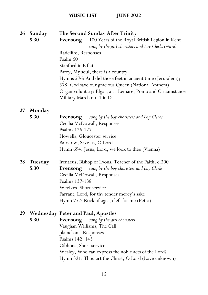| <b>26</b> | Sunday         | The Second Sunday After Trinity                            |
|-----------|----------------|------------------------------------------------------------|
|           | 5.30           | 100 Years of the Royal British Legion in Kent<br>Evensong  |
|           |                | sung by the girl choristers and Lay Clerks (Nave)          |
|           |                | Radcliffe, Responses                                       |
|           |                | Psalm 60                                                   |
|           |                | Stanford in B flat                                         |
|           |                | Parry, My soul, there is a country                         |
|           |                | Hymns 576: And did those feet in ancient time (Jerusalem); |
|           |                | 578: God save our gracious Queen (National Anthem)         |
|           |                | Organ voluntary: Elgar, arr. Lemare, Pomp and Circumstance |
|           |                | Military March no. 1 in D                                  |
| 27        | Monday         |                                                            |
|           | 5.30           | sung by the boy choristers and Lay Clerks<br>Evensong      |
|           |                | Cecilia McDowall, Responses                                |
|           |                | Psalms 126-127                                             |
|           |                | Howells, Gloucester service                                |
|           |                | Bairstow, Save us, O Lord                                  |
|           |                | Hymn 694: Jesus, Lord, we look to thee (Vienna)            |
| 28        | <b>Tuesday</b> | Irenaeus, Bishop of Lyons, Teacher of the Faith, c.200     |
|           | 5.30           | sung by the boy choristers and Lay Clerks<br>Evensong      |
|           |                | Cecilia McDowall, Responses                                |
|           |                | Psalms 137-138                                             |
|           |                | Weelkes, Short service                                     |
|           |                | Farrant, Lord, for thy tender mercy's sake                 |
|           |                | Hymn 772: Rock of ages, cleft for me (Petra)               |
| 29        |                | <b>Wednesday Peter and Paul, Apostles</b>                  |
|           | 5.30           | Evensong<br>sung by the girl choristers                    |
|           |                | Vaughan Williams, The Call                                 |
|           |                | plainchant, Responses                                      |
|           |                | Psalms 142; 143                                            |
|           |                | Gibbons, Short service                                     |
|           |                | Wesley, Who can express the noble acts of the Lord?        |

Hymn 321: Thou art the Christ, O Lord (Love unknown)